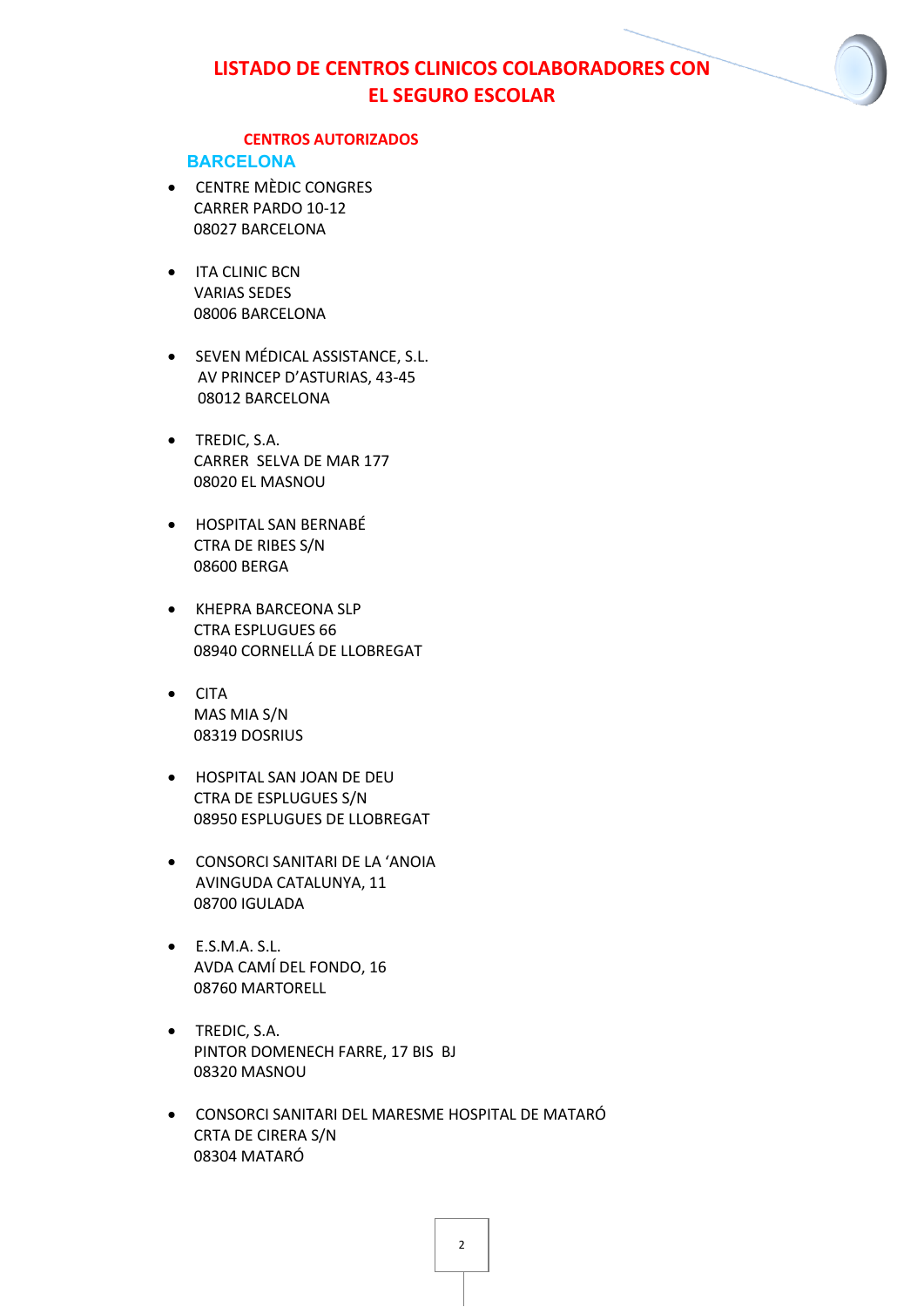### **CENTROS AUTORIZADOS**

#### **BARCELONA**

- CENTRE MÈDIC CONGRES CARRER PARDO 10-12 08027 BARCELONA
- **•** ITA CLINIC BCN VARIAS SEDES 08006 BARCELONA
- **•** SEVEN MÉDICAL ASSISTANCE, S.L. AV PRINCEP D'ASTURIAS, 43-45 08012 BARCELONA
- TREDIC, S.A. CARRER SELVA DE MAR 177 08020 EL MASNOU
- HOSPITAL SAN BERNABÉ CTRA DE RIBES S/N 08600 BERGA
- KHEPRA BARCEONA SLP CTRA ESPLUGUES 66 08940 CORNELLÁ DE LLOBREGAT
- CITA MAS MIA S/N 08319 DOSRIUS
- HOSPITAL SAN JOAN DE DEU CTRA DE ESPLUGUES S/N 08950 ESPLUGUES DE LLOBREGAT
- CONSORCI SANITARI DE LA 'ANOIA AVINGUDA CATALUNYA, 11 08700 IGULADA
- $\bullet$  E.S.M.A. S.L. AVDA CAMÍ DEL FONDO, 16 08760 MARTORELL
- **•** TREDIC, S.A. PINTOR DOMENECH FARRE, 17 BIS BJ 08320 MASNOU
- CONSORCI SANITARI DEL MARESME HOSPITAL DE MATARÓ CRTA DE CIRERA S/N 08304 MATARÓ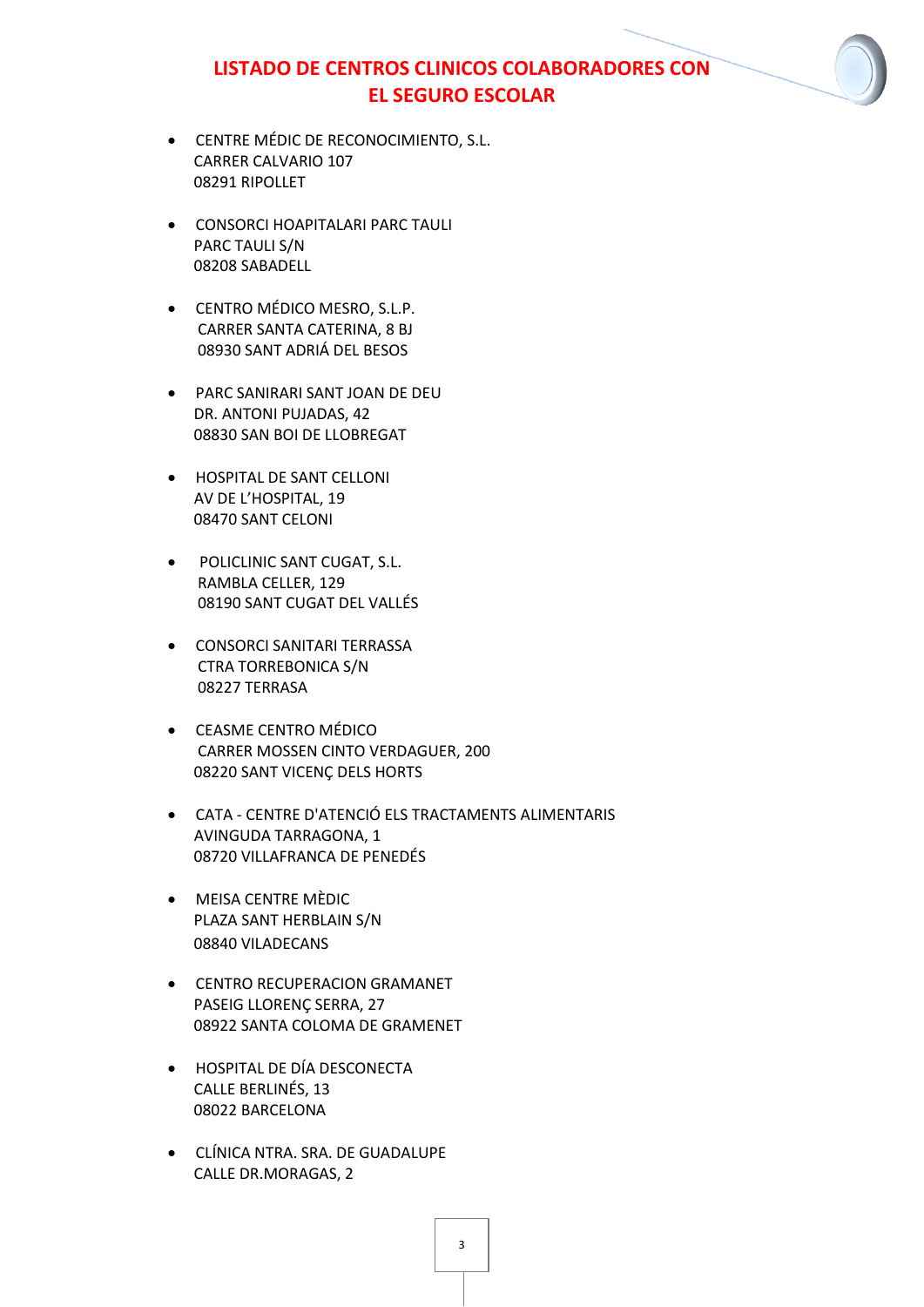- CENTRE MÉDIC DE RECONOCIMIENTO, S.L. CARRER CALVARIO 107 08291 RIPOLLET
- **CONSORCI HOAPITALARI PARC TAULI** PARC TAULI S/N 08208 SABADELL
- CENTRO MÉDICO MESRO, S.L.P. CARRER SANTA CATERINA, 8 BJ 08930 SANT ADRIÁ DEL BESOS
- PARC SANIRARI SANT JOAN DE DEU DR. ANTONI PUJADAS, 42 08830 SAN BOI DE LLOBREGAT
- **HOSPITAL DE SANT CELLONI** AV DE L'HOSPITAL, 19 08470 SANT CELONI
- **•** POLICLINIC SANT CUGAT, S.L. RAMBLA CELLER, 129 08190 SANT CUGAT DEL VALLÉS
- **CONSORCI SANITARI TERRASSA** CTRA TORREBONICA S/N 08227 TERRASA
- CEASME CENTRO MÉDICO CARRER MOSSEN CINTO VERDAGUER, 200 08220 SANT VICENÇ DELS HORTS
- CATA CENTRE D'ATENCIÓ ELS TRACTAMENTS ALIMENTARIS AVINGUDA TARRAGONA, 1 08720 VILLAFRANCA DE PENEDÉS
- MEISA CENTRE MÈDIC PLAZA SANT HERBLAIN S/N 08840 VILADECANS
- **CENTRO RECUPERACION GRAMANET** PASEIG LLORENÇ SERRA, 27 08922 SANTA COLOMA DE GRAMENET
- HOSPITAL DE DÍA DESCONECTA CALLE BERLINÉS, 13 08022 BARCELONA
- CLÍNICA NTRA. SRA. DE GUADALUPE CALLE DR.MORAGAS, 2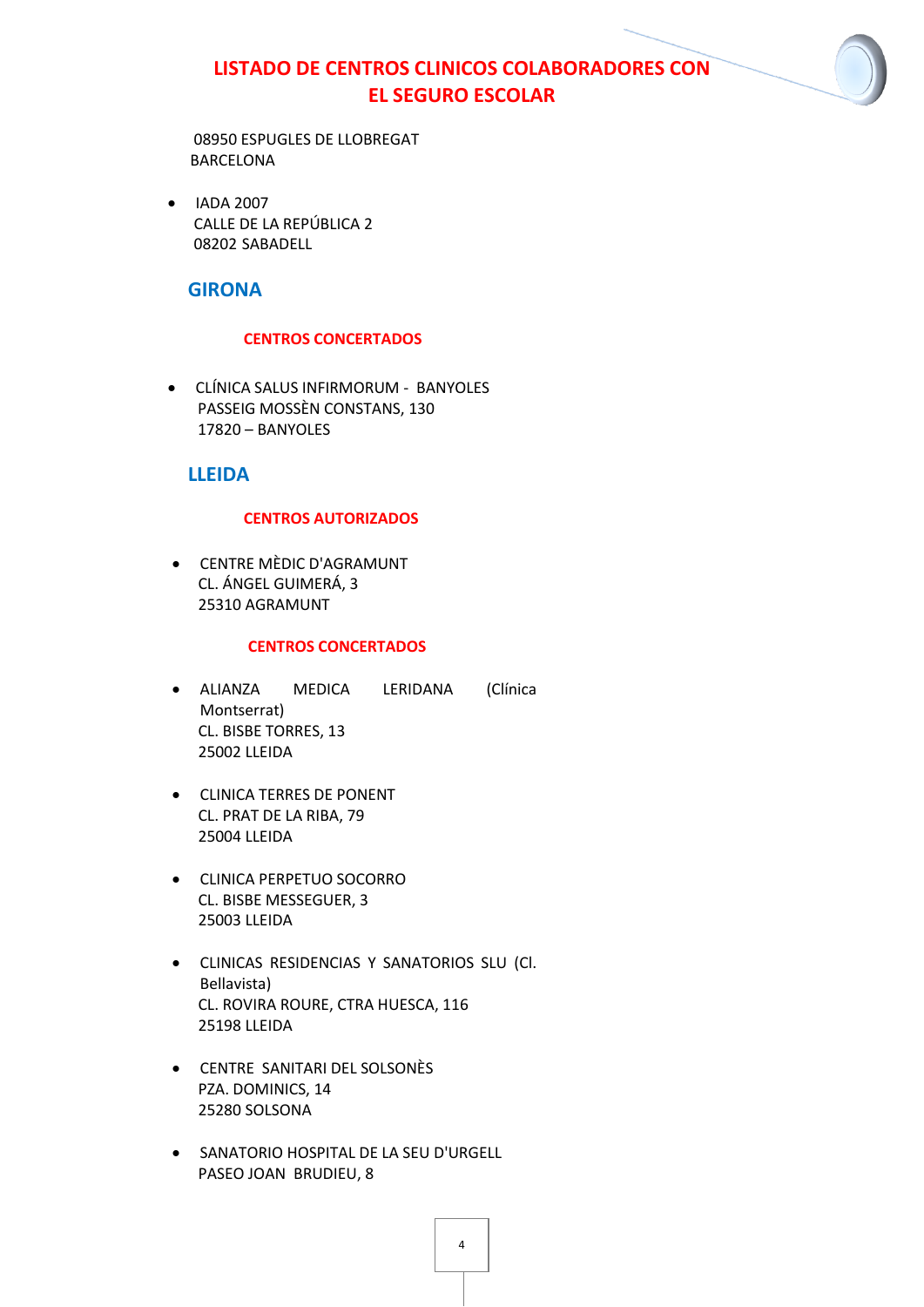08950 ESPUGLES DE LLOBREGAT BARCELONA

• IADA 2007 CALLE DE LA REPÚBLICA 2 08202 SABADELL

## **GIRONA**

## **CENTROS CONCERTADOS**

 CLÍNICA SALUS INFIRMORUM - BANYOLES PASSEIG MOSSÈN CONSTANS, 130 17820 – BANYOLES

## **LLEIDA**

## **CENTROS AUTORIZADOS**

 CENTRE MÈDIC D'AGRAMUNT CL. ÁNGEL GUIMERÁ, 3 25310 AGRAMUNT

### **CENTROS CONCERTADOS**

- ALIANZA MEDICA LERIDANA (Clínica Montserrat) CL. BISBE TORRES, 13 25002 LLEIDA
- CLINICA TERRES DE PONENT CL. PRAT DE LA RIBA, 79 25004 LLEIDA
- CLINICA PERPETUO SOCORRO CL. BISBE MESSEGUER, 3 25003 LLEIDA
- CLINICAS RESIDENCIAS Y SANATORIOS SLU (Cl. Bellavista) CL. ROVIRA ROURE, CTRA HUESCA, 116 25198 LLEIDA
- CENTRE SANITARI DEL SOLSONÈS PZA. DOMINICS, 14 25280 SOLSONA
- SANATORIO HOSPITAL DE LA SEU D'URGELL PASEO JOAN BRUDIEU, 8